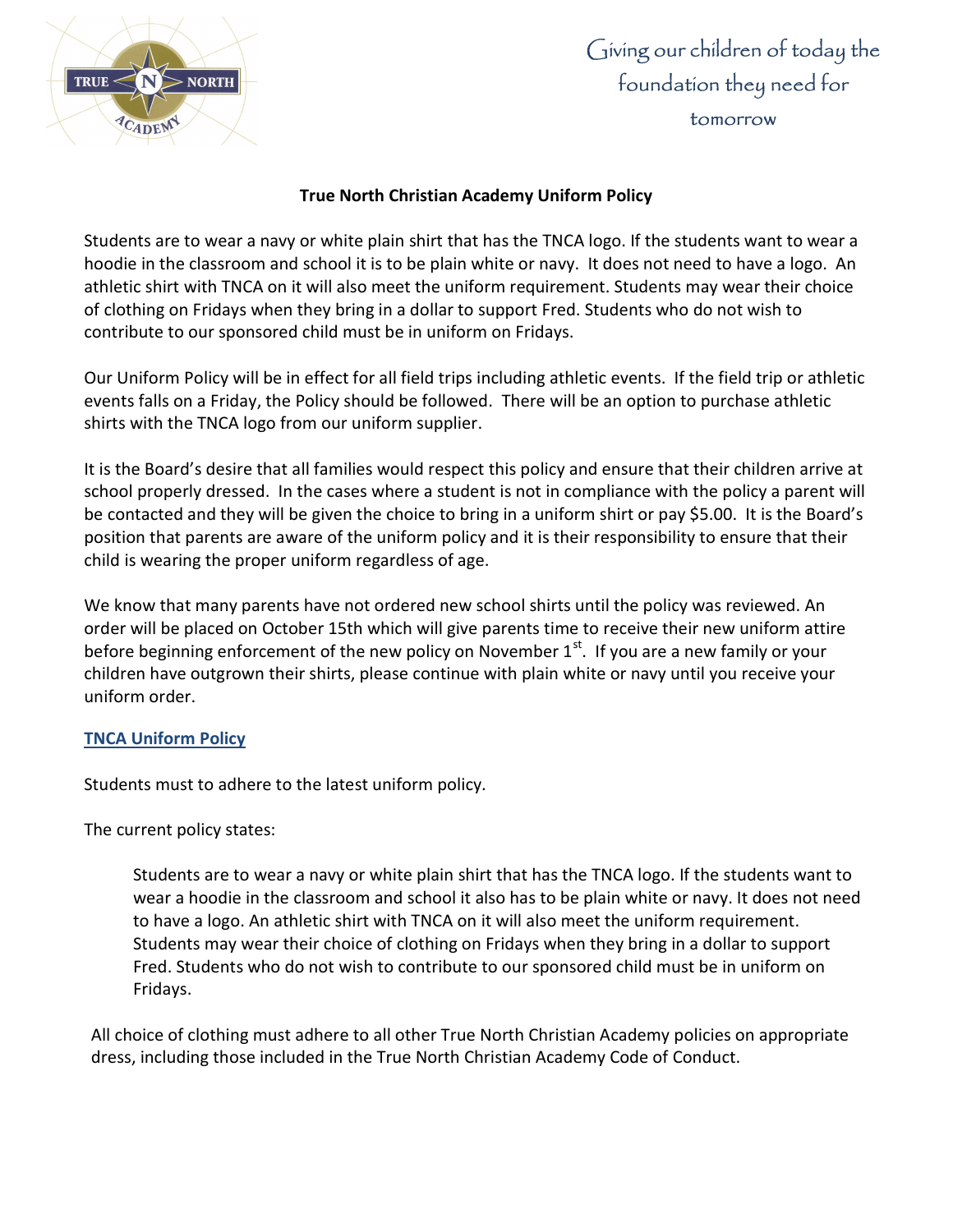

## Giving our children of today the foundation they need for tomorrow

## True North Christian Academy Uniform Policy

Students are to wear a navy or white plain shirt that has the TNCA logo. If the students want to wear a hoodie in the classroom and school it is to be plain white or navy. It does not need to have a logo. An athletic shirt with TNCA on it will also meet the uniform requirement. Students may wear their choice of clothing on Fridays when they bring in a dollar to support Fred. Students who do not wish to contribute to our sponsored child must be in uniform on Fridays.

Our Uniform Policy will be in effect for all field trips including athletic events. If the field trip or athletic events falls on a Friday, the Policy should be followed. There will be an option to purchase athletic shirts with the TNCA logo from our uniform supplier.

It is the Board's desire that all families would respect this policy and ensure that their children arrive at school properly dressed. In the cases where a student is not in compliance with the policy a parent will be contacted and they will be given the choice to bring in a uniform shirt or pay \$5.00. It is the Board's position that parents are aware of the uniform policy and it is their responsibility to ensure that their child is wearing the proper uniform regardless of age.

We know that many parents have not ordered new school shirts until the policy was reviewed. An order will be placed on October 15th which will give parents time to receive their new uniform attire before beginning enforcement of the new policy on November  $1<sup>st</sup>$ . If you are a new family or your children have outgrown their shirts, please continue with plain white or navy until you receive your uniform order.

## TNCA Uniform Policy

Students must to adhere to the latest uniform policy.

The current policy states:

Students are to wear a navy or white plain shirt that has the TNCA logo. If the students want to wear a hoodie in the classroom and school it also has to be plain white or navy. It does not need to have a logo. An athletic shirt with TNCA on it will also meet the uniform requirement. Students may wear their choice of clothing on Fridays when they bring in a dollar to support Fred. Students who do not wish to contribute to our sponsored child must be in uniform on Fridays.

All choice of clothing must adhere to all other True North Christian Academy policies on appropriate dress, including those included in the True North Christian Academy Code of Conduct.